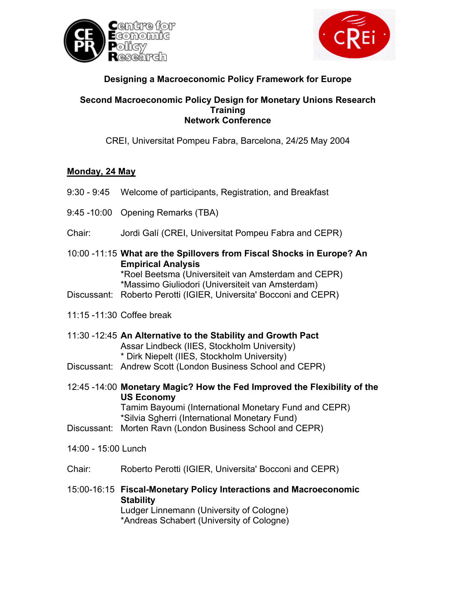



# **Designing a Macroeconomic Policy Framework for Europe**

#### **Second Macroeconomic Policy Design for Monetary Unions Research Training Network Conference**

CREI, Universitat Pompeu Fabra, Barcelona, 24/25 May 2004

## **Monday, 24 May**

- 9:30 9:45 Welcome of participants, Registration, and Breakfast 9:45 -10:00 Opening Remarks (TBA) Chair: Jordi Galí (CREI, Universitat Pompeu Fabra and CEPR) 10:00 -11:15 **What are the Spillovers from Fiscal Shocks in Europe? An Empirical Analysis** \*Roel Beetsma (Universiteit van Amsterdam and CEPR) \*Massimo Giuliodori (Universiteit van Amsterdam) Discussant: Roberto Perotti (IGIER, Universita' Bocconi and CEPR) 11:15 -11:30 Coffee break 11:30 -12:45 **An Alternative to the Stability and Growth Pact** Assar Lindbeck (IIES, Stockholm University) \* Dirk Niepelt (IIES, Stockholm University) Discussant: Andrew Scott (London Business School and CEPR) 12:45 -14:00 **Monetary Magic? How the Fed Improved the Flexibility of the US Economy** Tamim Bayoumi (International Monetary Fund and CEPR) \*Silvia Sgherri (International Monetary Fund) Discussant: Morten Ravn (London Business School and CEPR) 14:00 - 15:00 Lunch Chair: Roberto Perotti (IGIER, Universita' Bocconi and CEPR)
- 15:00-16:15 **Fiscal-Monetary Policy Interactions and Macroeconomic Stability** Ludger Linnemann (University of Cologne) \*Andreas Schabert (University of Cologne)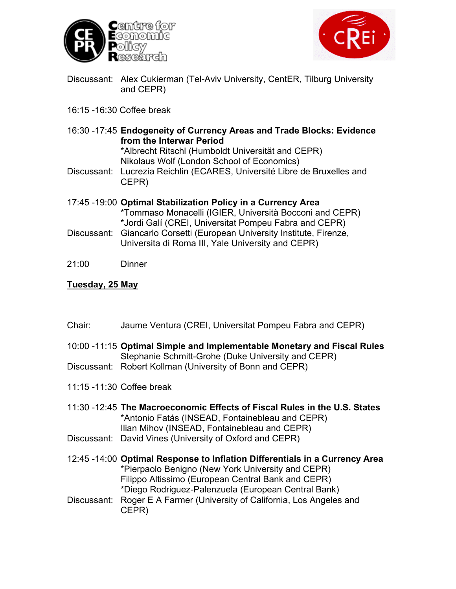



- Discussant: Alex Cukierman (Tel-Aviv University, CentER, Tilburg University and CEPR)
- 16:15 -16:30 Coffee break
- 16:30 -17:45 **Endogeneity of Currency Areas and Trade Blocks: Evidence from the Interwar Period**

\*Albrecht Ritschl (Humboldt Universität and CEPR) Nikolaus Wolf (London School of Economics)

Discussant: Lucrezia Reichlin (ECARES, Université Libre de Bruxelles and CEPR)

17:45 -19:00 **Optimal Stabilization Policy in a Currency Area** \*Tommaso Monacelli (IGIER, Università Bocconi and CEPR) \*Jordi Galí (CREI, Universitat Pompeu Fabra and CEPR) Discussant: Giancarlo Corsetti (European University Institute, Firenze,

- Universita di Roma III, Yale University and CEPR)
- 21:00 Dinner

### **Tuesday, 25 May**

- Chair: Jaume Ventura (CREI, Universitat Pompeu Fabra and CEPR)
- 10:00 -11:15 **Optimal Simple and Implementable Monetary and Fiscal Rules** Stephanie Schmitt-Grohe (Duke University and CEPR)
- Discussant: Robert Kollman (University of Bonn and CEPR)
- 11:15 -11:30 Coffee break
- 11:30 -12:45 **The Macroeconomic Effects of Fiscal Rules in the U.S. States** \*Antonio Fatás (INSEAD, Fontainebleau and CEPR) Ilian Mihov (INSEAD, Fontainebleau and CEPR)
- Discussant: David Vines (University of Oxford and CEPR)
- 12:45 -14:00 **Optimal Response to Inflation Differentials in a Currency Area** \*Pierpaolo Benigno (New York University and CEPR) Filippo Altissimo (European Central Bank and CEPR) \*Diego Rodriguez-Palenzuela (European Central Bank)
- Discussant: Roger E A Farmer (University of California, Los Angeles and CEPR)